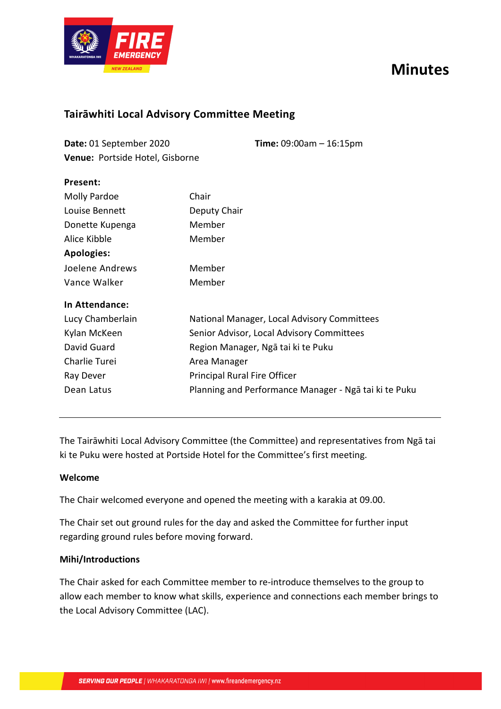# **Minutes**



### **Tairāwhiti Local Advisory Committee Meeting**

| Date: 01 September 2020         | <b>Time:</b> $09:00am - 16:15pm$ |
|---------------------------------|----------------------------------|
| Venue: Portside Hotel, Gisborne |                                  |

| гісэсіі.            |                                                       |
|---------------------|-------------------------------------------------------|
| <b>Molly Pardoe</b> | Chair                                                 |
| Louise Bennett      | Deputy Chair                                          |
| Donette Kupenga     | Member                                                |
| Alice Kibble        | Member                                                |
| <b>Apologies:</b>   |                                                       |
| Joelene Andrews     | Member                                                |
| Vance Walker        | Member                                                |
| In Attendance:      |                                                       |
| Lucy Chamberlain    | National Manager, Local Advisory Committees           |
| Kylan McKeen        | Senior Advisor, Local Advisory Committees             |
| David Guard         | Region Manager, Ngā tai ki te Puku                    |
| Charlie Turei       | Area Manager                                          |
| Ray Dever           | Principal Rural Fire Officer                          |
| Dean Latus          | Planning and Performance Manager - Ngā tai ki te Puku |
|                     |                                                       |

The Tairāwhiti Local Advisory Committee (the Committee) and representatives from Ngā tai ki te Puku were hosted at Portside Hotel for the Committee's first meeting.

#### **Welcome**

**Present:**

The Chair welcomed everyone and opened the meeting with a karakia at 09.00.

The Chair set out ground rules for the day and asked the Committee for further input regarding ground rules before moving forward.

#### **Mihi/Introductions**

The Chair asked for each Committee member to re-introduce themselves to the group to allow each member to know what skills, experience and connections each member brings to the Local Advisory Committee (LAC).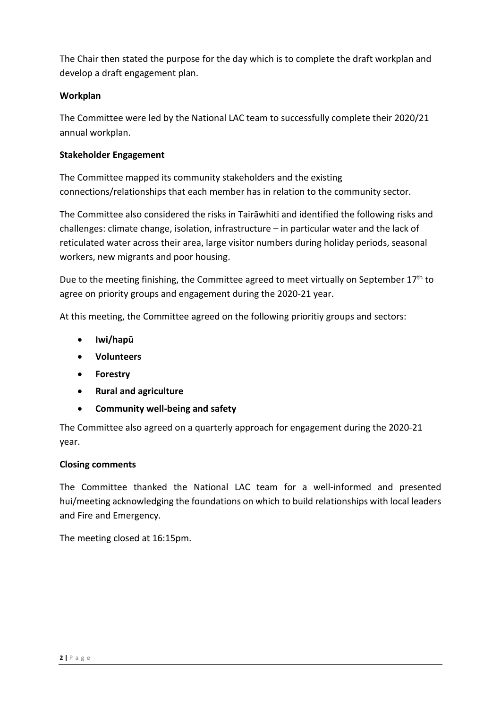The Chair then stated the purpose for the day which is to complete the draft workplan and develop a draft engagement plan.

#### **Workplan**

The Committee were led by the National LAC team to successfully complete their 2020/21 annual workplan.

#### **Stakeholder Engagement**

The Committee mapped its community stakeholders and the existing connections/relationships that each member has in relation to the community sector.

The Committee also considered the risks in Tairāwhiti and identified the following risks and challenges: climate change, isolation, infrastructure – in particular water and the lack of reticulated water across their area, large visitor numbers during holiday periods, seasonal workers, new migrants and poor housing.

Due to the meeting finishing, the Committee agreed to meet virtually on September 17<sup>th</sup> to agree on priority groups and engagement during the 2020-21 year.

At this meeting, the Committee agreed on the following prioritiy groups and sectors:

- **Iwi/hapū**
- **Volunteers**
- **Forestry**
- **Rural and agriculture**
- **Community well-being and safety**

The Committee also agreed on a quarterly approach for engagement during the 2020-21 year.

#### **Closing comments**

The Committee thanked the National LAC team for a well-informed and presented hui/meeting acknowledging the foundations on which to build relationships with local leaders and Fire and Emergency.

The meeting closed at 16:15pm.